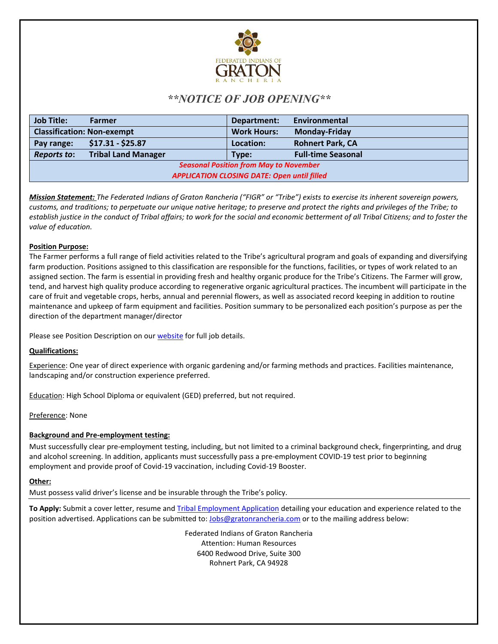

# *\*\*NOTICE OF JOB OPENING\*\**

| <b>Job Title:</b>                                  | Farmer                     | Department:        | Environmental             |
|----------------------------------------------------|----------------------------|--------------------|---------------------------|
| <b>Classification: Non-exempt</b>                  |                            | <b>Work Hours:</b> | <b>Monday-Friday</b>      |
| Pay range:                                         | $$17.31 - $25.87$          | Location:          | <b>Rohnert Park, CA</b>   |
| <b>Reports to:</b>                                 | <b>Tribal Land Manager</b> | Type:              | <b>Full-time Seasonal</b> |
| <b>Seasonal Position from May to November</b>      |                            |                    |                           |
| <b>APPLICATION CLOSING DATE: Open until filled</b> |                            |                    |                           |

*Mission Statement: The Federated Indians of Graton Rancheria ("FIGR" or "Tribe") exists to exercise its inherent sovereign powers, customs, and traditions; to perpetuate our unique native heritage; to preserve and protect the rights and privileges of the Tribe; to establish justice in the conduct of Tribal affairs; to work for the social and economic betterment of all Tribal Citizens; and to foster the value of education.*

## **Position Purpose:**

The Farmer performs a full range of field activities related to the Tribe's agricultural program and goals of expanding and diversifying farm production. Positions assigned to this classification are responsible for the functions, facilities, or types of work related to an assigned section. The farm is essential in providing fresh and healthy organic produce for the Tribe's Citizens. The Farmer will grow, tend, and harvest high quality produce according to regenerative organic agricultural practices. The incumbent will participate in the care of fruit and vegetable crops, herbs, annual and perennial flowers, as well as associated record keeping in addition to routine maintenance and upkeep of farm equipment and facilities. Position summary to be personalized each position's purpose as per the direction of the department manager/director

Please see Position Description on our **website** for full job details.

## **Qualifications:**

Experience: One year of direct experience with organic gardening and/or farming methods and practices. Facilities maintenance, landscaping and/or construction experience preferred.

Education: High School Diploma or equivalent (GED) preferred, but not required.

Preference: None

## **Background and Pre-employment testing:**

Must successfully clear pre-employment testing, including, but not limited to a criminal background check, fingerprinting, and drug and alcohol screening. In addition, applicants must successfully pass a pre-employment COVID-19 test prior to beginning employment and provide proof of Covid-19 vaccination, including Covid-19 Booster.

## **Other:**

Must possess valid driver's license and be insurable through the Tribe's policy.

**To Apply:** Submit a cover letter, resume and [Tribal Employment Application](https://gratonrancheria.com/wp-content/uploads/2018/11/rev.FIGR_Employment_App_Rev_3_19_18.pdf) detailing your education and experience related to the position advertised. Applications can be submitted to[: Jobs@gratonrancheria.com](mailto:Jobs@gratonrancheria.com) or to the mailing address below:

> Federated Indians of Graton Rancheria Attention: Human Resources 6400 Redwood Drive, Suite 300 Rohnert Park, CA 94928